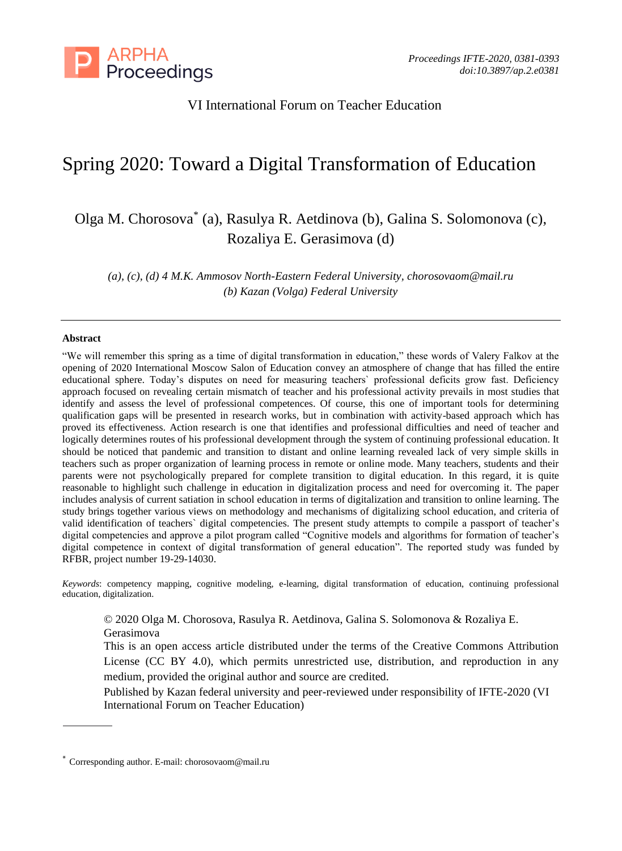

## VI International Forum on Teacher Education

# Spring 2020: Toward a Digital Transformation of Education

Olga M. Chorosova\* (a), Rasulya R. Aetdinova (b), Galina S. Solomonova (c), Rozaliya E. Gerasimova (d)

*(a), (c), (d) 4 M.K. Ammosov North-Eastern Federal University, chorosovaom@mail.ru (b) Kazan (Volga) Federal University*

#### **Abstract**

"We will remember this spring as a time of digital transformation in education," these words of Valery Falkov at the opening of 2020 International Moscow Salon of Education convey an atmosphere of change that has filled the entire educational sphere. Today's disputes on need for measuring teachers` professional deficits grow fast. Deficiency approach focused on revealing certain mismatch of teacher and his professional activity prevails in most studies that identify and assess the level of professional competences. Of course, this one of important tools for determining qualification gaps will be presented in research works, but in combination with activity-based approach which has proved its effectiveness. Action research is one that identifies and professional difficulties and need of teacher and logically determines routes of his professional development through the system of continuing professional education. It should be noticed that pandemic and transition to distant and online learning revealed lack of very simple skills in teachers such as proper organization of learning process in remote or online mode. Many teachers, students and their parents were not psychologically prepared for complete transition to digital education. In this regard, it is quite reasonable to highlight such challenge in education in digitalization process and need for overcoming it. The paper includes analysis of current satiation in school education in terms of digitalization and transition to online learning. The study brings together various views on methodology and mechanisms of digitalizing school education, and criteria of valid identification of teachers` digital competencies. The present study attempts to compile a passport of teacher's digital competencies and approve a pilot program called "Cognitive models and algorithms for formation of teacher's digital competence in context of digital transformation of general education". The reported study was funded by RFBR, project number 19-29-14030.

*Keywords*: competency mapping, cognitive modeling, e-learning, digital transformation of education, continuing professional education, digitalization.

© 2020 Olga M. Chorosova, Rasulya R. Aetdinova, Galina S. Solomonova & Rozaliya E. Gerasimova

This is an open access article distributed under the terms of the Creative Commons Attribution License (CC BY 4.0), which permits unrestricted use, distribution, and reproduction in any medium, provided the original author and source are credited.

Published by Kazan federal university and peer-reviewed under responsibility of IFTE-2020 (VI International Forum on Teacher Education)

<sup>\*</sup> Corresponding author. E-mail: chorosovaom@mail.ru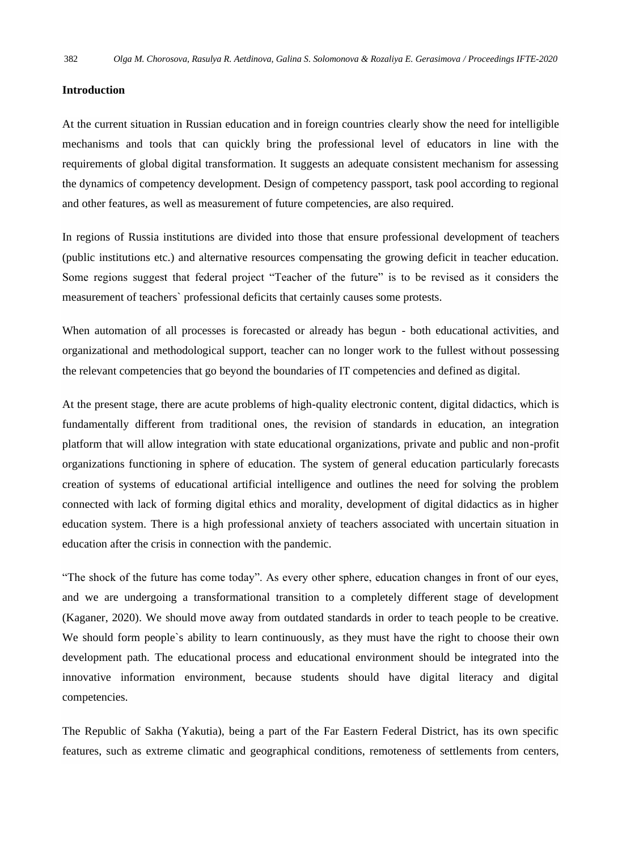#### **Introduction**

At the current situation in Russian education and in foreign countries clearly show the need for intelligible mechanisms and tools that can quickly bring the professional level of educators in line with the requirements of global digital transformation. It suggests an adequate consistent mechanism for assessing the dynamics of competency development. Design of competency passport, task pool according to regional and other features, as well as measurement of future competencies, are also required.

In regions of Russia institutions are divided into those that ensure professional development of teachers (public institutions etc.) and alternative resources compensating the growing deficit in teacher education. Some regions suggest that federal project "Teacher of the future" is to be revised as it considers the measurement of teachers` professional deficits that certainly causes some protests.

When automation of all processes is forecasted or already has begun - both educational activities, and organizational and methodological support, teacher can no longer work to the fullest without possessing the relevant competencies that go beyond the boundaries of IT competencies and defined as digital.

At the present stage, there are acute problems of high-quality electronic content, digital didactics, which is fundamentally different from traditional ones, the revision of standards in education, an integration platform that will allow integration with state educational organizations, private and public and non-profit organizations functioning in sphere of education. The system of general education particularly forecasts creation of systems of educational artificial intelligence and outlines the need for solving the problem connected with lack of forming digital ethics and morality, development of digital didactics as in higher education system. There is a high professional anxiety of teachers associated with uncertain situation in education after the crisis in connection with the pandemic.

"The shock of the future has come today". As every other sphere, education changes in front of our eyes, and we are undergoing a transformational transition to a completely different stage of development (Kaganer, 2020). We should move away from outdated standards in order to teach people to be creative. We should form people`s ability to learn continuously, as they must have the right to choose their own development path. The educational process and educational environment should be integrated into the innovative information environment, because students should have digital literacy and digital competencies.

The Republic of Sakha (Yakutia), being a part of the Far Eastern Federal District, has its own specific features, such as extreme climatic and geographical conditions, remoteness of settlements from centers,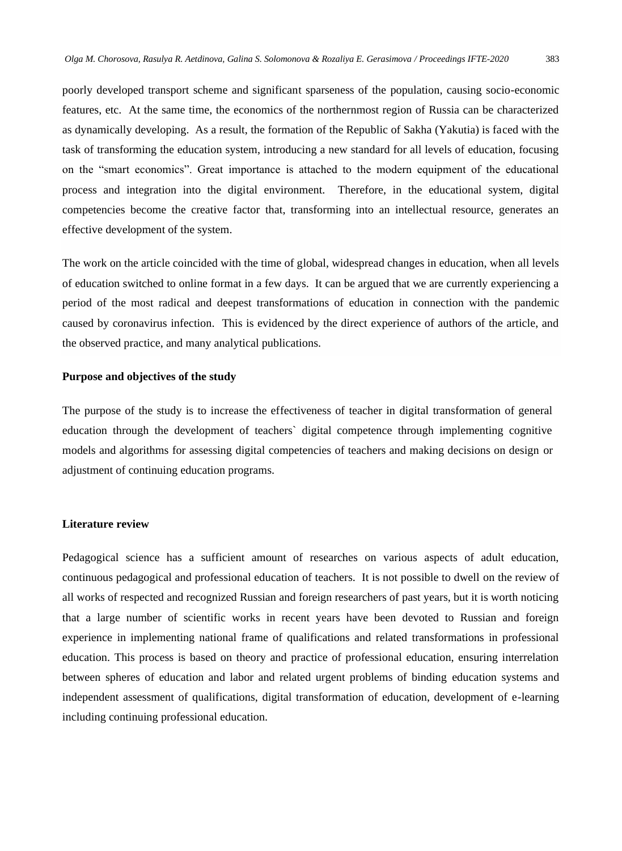poorly developed transport scheme and significant sparseness of the population, causing socio-economic features, etc. At the same time, the economics of the northernmost region of Russia can be characterized as dynamically developing. As a result, the formation of the Republic of Sakha (Yakutia) is faced with the task of transforming the education system, introducing a new standard for all levels of education, focusing on the "smart economics". Great importance is attached to the modern equipment of the educational

process and integration into the digital environment. Therefore, in the educational system, digital competencies become the creative factor that, transforming into an intellectual resource, generates an effective development of the system.

The work on the article coincided with the time of global, widespread changes in education, when all levels of education switched to online format in a few days. It can be argued that we are currently experiencing a period of the most radical and deepest transformations of education in connection with the pandemic caused by coronavirus infection. This is evidenced by the direct experience of authors of the article, and the observed practice, and many analytical publications.

#### **Purpose and objectives of the study**

The purpose of the study is to increase the effectiveness of teacher in digital transformation of general education through the development of teachers` digital competence through implementing cognitive models and algorithms for assessing digital competencies of teachers and making decisions on design or adjustment of continuing education programs.

#### **Literature review**

Pedagogical science has a sufficient amount of researches on various aspects of adult education, continuous pedagogical and professional education of teachers. It is not possible to dwell on the review of all works of respected and recognized Russian and foreign researchers of past years, but it is worth noticing that a large number of scientific works in recent years have been devoted to Russian and foreign experience in implementing national frame of qualifications and related transformations in professional education. This process is based on theory and practice of professional education, ensuring interrelation between spheres of education and labor and related urgent problems of binding education systems and independent assessment of qualifications, digital transformation of education, development of e-learning including continuing professional education.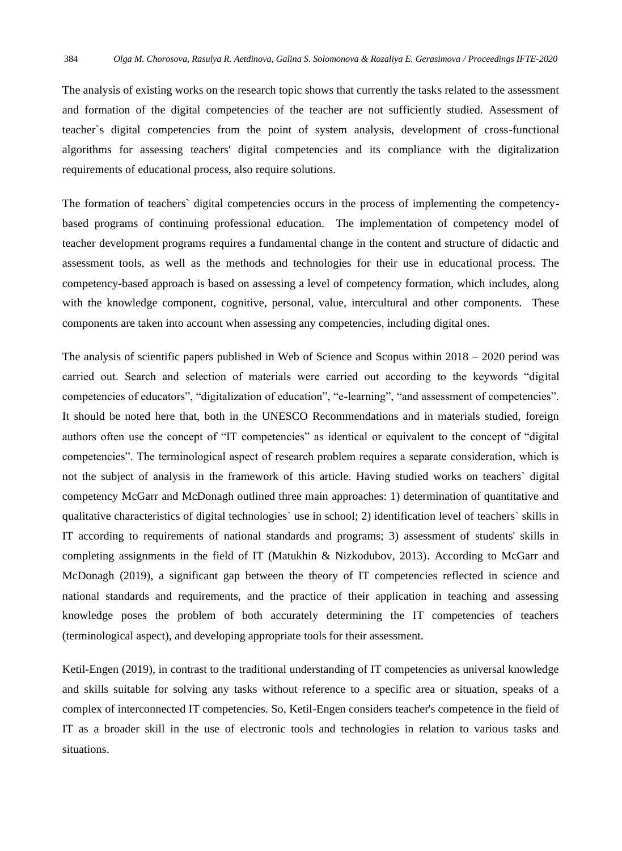The analysis of existing works on the research topic shows that currently the tasks related to the assessment and formation of the digital competencies of the teacher are not sufficiently studied. Assessment of teacher`s digital competencies from the point of system analysis, development of cross-functional algorithms for assessing teachers' digital competencies and its compliance with the digitalization requirements of educational process, also require solutions.

The formation of teachers` digital competencies occurs in the process of implementing the competencybased programs of continuing professional education. The implementation of competency model of teacher development programs requires a fundamental change in the content and structure of didactic and assessment tools, as well as the methods and technologies for their use in educational process. The competency-based approach is based on assessing a level of competency formation, which includes, along with the knowledge component, cognitive, personal, value, intercultural and other components. These components are taken into account when assessing any competencies, including digital ones.

The analysis of scientific papers published in Web of Science and Scopus within 2018 – 2020 period was carried out. Search and selection of materials were carried out according to the keywords "digital competencies of educators", "digitalization of education", "e-learning", "and assessment of competencies". It should be noted here that, both in the UNESCO Recommendations and in materials studied, foreign authors often use the concept of "IT competencies" as identical or equivalent to the concept of "digital competencies". The terminological aspect of research problem requires a separate consideration, which is not the subject of analysis in the framework of this article. Having studied works on teachers` digital competency McGarr and McDonagh outlined three main approaches: 1) determination of quantitative and qualitative characteristics of digital technologies` use in school; 2) identification level of teachers` skills in IT according to requirements of national standards and programs; 3) assessment of students' skills in completing assignments in the field of IT (Matukhin & Nizkodubov, 2013). According to McGarr and McDonagh (2019), a significant gap between the theory of IT competencies reflected in science and national standards and requirements, and the practice of their application in teaching and assessing knowledge poses the problem of both accurately determining the IT competencies of teachers (terminological aspect), and developing appropriate tools for their assessment.

Ketil-Engen (2019), in contrast to the traditional understanding of IT competencies as universal knowledge and skills suitable for solving any tasks without reference to a specific area or situation, speaks of a complex of interconnected IT competencies. So, Ketil-Engen considers teacher's competence in the field of IT as a broader skill in the use of electronic tools and technologies in relation to various tasks and situations.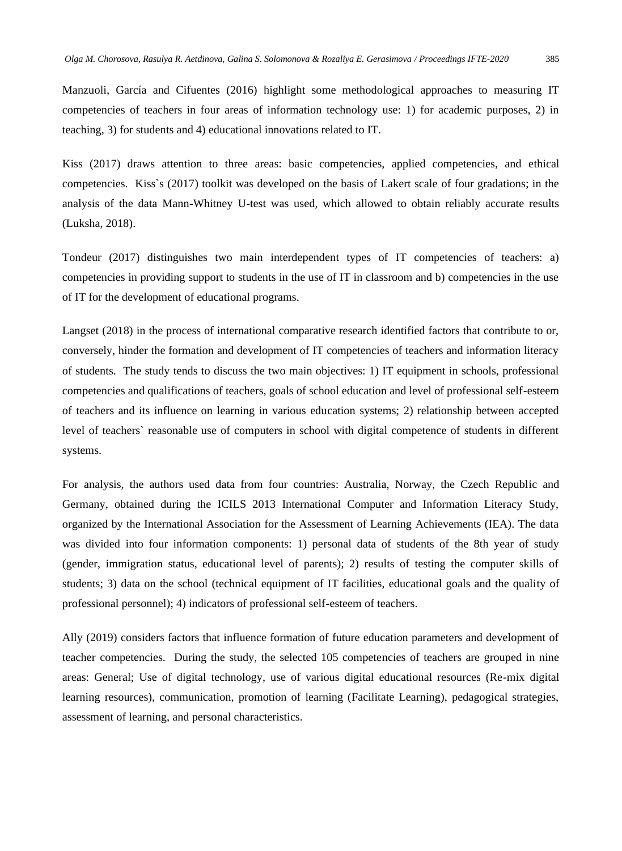Manzuoli, García and Cifuentes (2016) highlight some methodological approaches to measuring IT competencies of teachers in four areas of information technology use: 1) for academic purposes, 2) in teaching, 3) for students and 4) educational innovations related to IT.

Kiss (2017) draws attention to three areas: basic competencies, applied competencies, and ethical competencies. Kiss`s (2017) toolkit was developed on the basis of Lakert scale of four gradations; in the analysis of the data Mann-Whitney U-test was used, which allowed to obtain reliably accurate results (Luksha, 2018).

Tondeur (2017) distinguishes two main interdependent types of IT competencies of teachers: a) competencies in providing support to students in the use of IT in classroom and b) competencies in the use of IT for the development of educational programs.

Langset (2018) in the process of international comparative research identified factors that contribute to or, conversely, hinder the formation and development of IT competencies of teachers and information literacy of students. The study tends to discuss the two main objectives: 1) IT equipment in schools, professional competencies and qualifications of teachers, goals of school education and level of professional self-esteem of teachers and its influence on learning in various education systems; 2) relationship between accepted level of teachers` reasonable use of computers in school with digital competence of students in different systems.

For analysis, the authors used data from four countries: Australia, Norway, the Czech Republic and Germany, obtained during the ICILS 2013 International Computer and Information Literacy Study, organized by the International Association for the Assessment of Learning Achievements (IEA). The data was divided into four information components: 1) personal data of students of the 8th year of study (gender, immigration status, educational level of parents); 2) results of testing the computer skills of students; 3) data on the school (technical equipment of IT facilities, educational goals and the quality of professional personnel); 4) indicators of professional self-esteem of teachers.

Ally (2019) considers factors that influence formation of future education parameters and development of teacher competencies. During the study, the selected 105 competencies of teachers are grouped in nine areas: General; Use of digital technology, use of various digital educational resources (Re-mix digital learning resources), communication, promotion of learning (Facilitate Learning), pedagogical strategies, assessment of learning, and personal characteristics.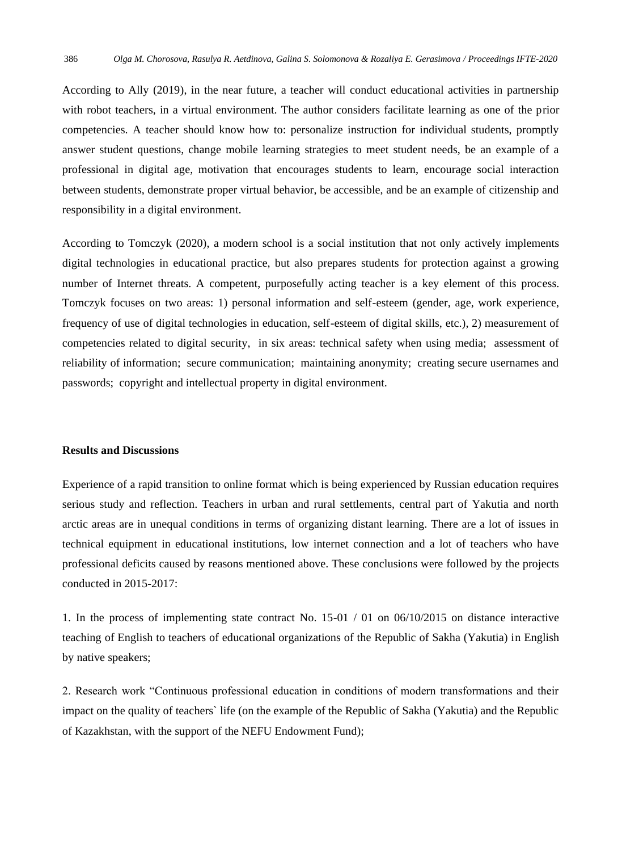According to Ally (2019), in the near future, a teacher will conduct educational activities in partnership with robot teachers, in a virtual environment. The author considers facilitate learning as one of the prior competencies. A teacher should know how to: personalize instruction for individual students, promptly answer student questions, change mobile learning strategies to meet student needs, be an example of a professional in digital age, motivation that encourages students to learn, encourage social interaction between students, demonstrate proper virtual behavior, be accessible, and be an example of citizenship and responsibility in a digital environment.

According to Tomczyk (2020), a modern school is a social institution that not only actively implements digital technologies in educational practice, but also prepares students for protection against a growing number of Internet threats. A competent, purposefully acting teacher is a key element of this process. Tomczyk focuses on two areas: 1) personal information and self-esteem (gender, age, work experience, frequency of use of digital technologies in education, self-esteem of digital skills, etc.), 2) measurement of competencies related to digital security, in six areas: technical safety when using media; assessment of reliability of information; secure communication; maintaining anonymity; creating secure usernames and passwords; copyright and intellectual property in digital environment.

#### **Results and Discussions**

Experience of a rapid transition to online format which is being experienced by Russian education requires serious study and reflection. Teachers in urban and rural settlements, central part of Yakutia and north arctic areas are in unequal conditions in terms of organizing distant learning. There are a lot of issues in technical equipment in educational institutions, low internet connection and a lot of teachers who have professional deficits caused by reasons mentioned above. These conclusions were followed by the projects conducted in 2015-2017:

1. In the process of implementing state contract No. 15-01 / 01 on 06/10/2015 on distance interactive teaching of English to teachers of educational organizations of the Republic of Sakha (Yakutia) in English by native speakers;

2. Research work "Continuous professional education in conditions of modern transformations and their impact on the quality of teachers` life (on the example of the Republic of Sakha (Yakutia) and the Republic of Kazakhstan, with the support of the NEFU Endowment Fund);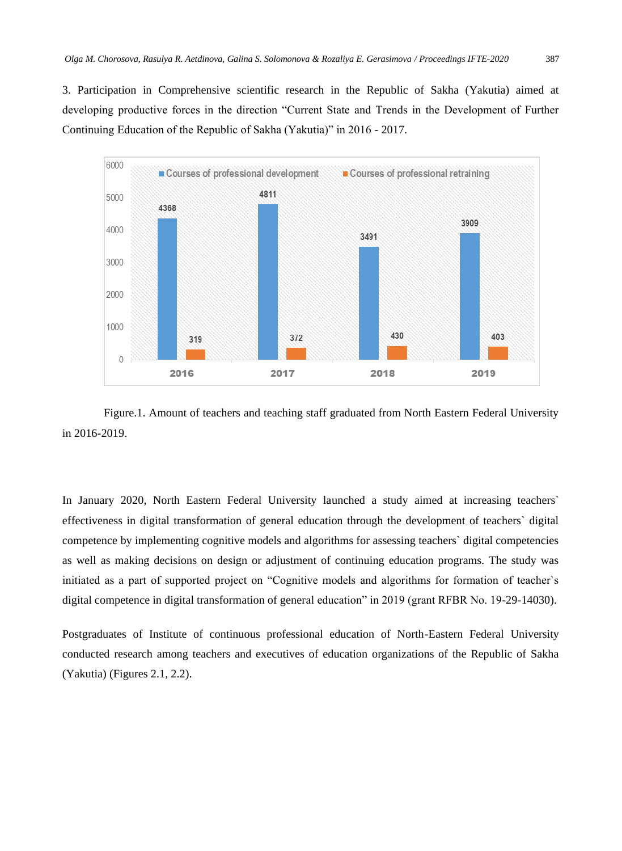3. Participation in Comprehensive scientific research in the Republic of Sakha (Yakutia) aimed at developing productive forces in the direction "Current State and Trends in the Development of Further Continuing Education of the Republic of Sakha (Yakutia)" in 2016 - 2017.



Figure.1. Amount of teachers and teaching staff graduated from North Eastern Federal University in 2016-2019.

In January 2020, North Eastern Federal University launched a study aimed at increasing teachers` effectiveness in digital transformation of general education through the development of teachers` digital competence by implementing cognitive models and algorithms for assessing teachers` digital competencies as well as making decisions on design or adjustment of continuing education programs. The study was initiated as a part of supported project on "Cognitive models and algorithms for formation of teacher`s digital competence in digital transformation of general education" in 2019 (grant RFBR No. 19-29-14030).

Postgraduates of Institute of continuous professional education of North-Eastern Federal University conducted research among teachers and executives of education organizations of the Republic of Sakha (Yakutia) (Figures 2.1, 2.2).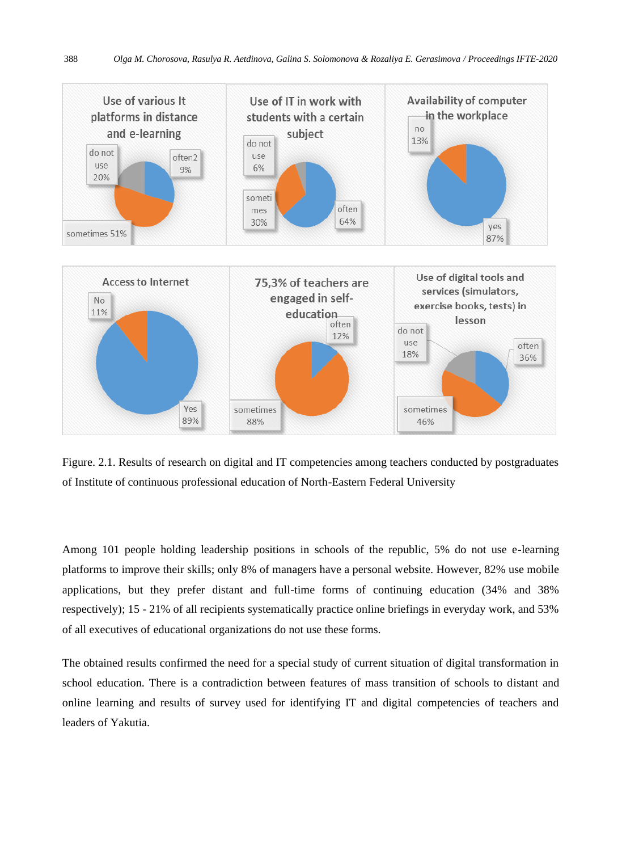

Figure. 2.1. Results of research on digital and IT competencies among teachers conducted by postgraduates of Institute of continuous professional education of North-Eastern Federal University

Among 101 people holding leadership positions in schools of the republic, 5% do not use e-learning platforms to improve their skills; only 8% of managers have a personal website. However, 82% use mobile applications, but they prefer distant and full-time forms of continuing education (34% and 38% respectively); 15 - 21% of all recipients systematically practice online briefings in everyday work, and 53% of all executives of educational organizations do not use these forms.

The obtained results confirmed the need for a special study of current situation of digital transformation in school education. There is a contradiction between features of mass transition of schools to distant and online learning and results of survey used for identifying IT and digital competencies of teachers and leaders of Yakutia.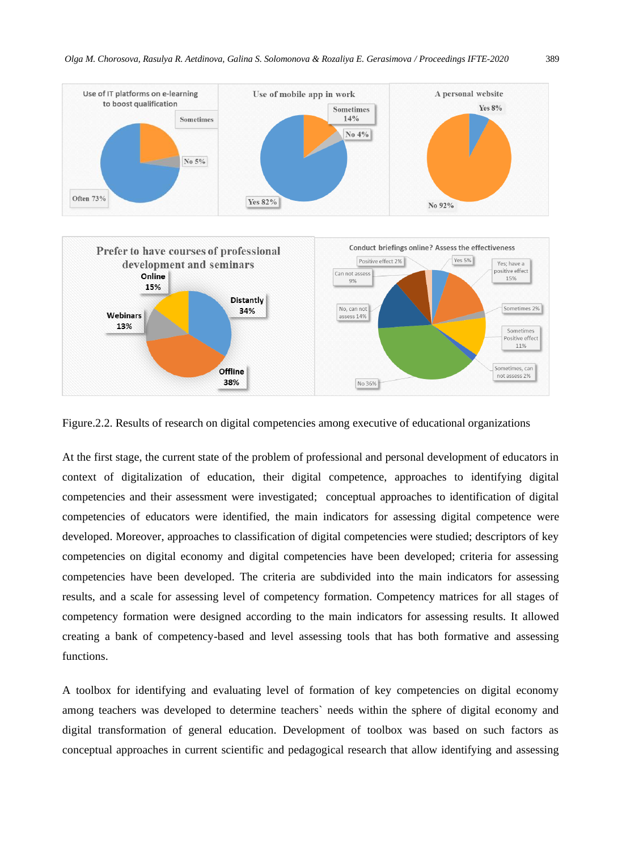

Figure.2.2. Results of research on digital competencies among executive of educational organizations

At the first stage, the current state of the problem of professional and personal development of educators in context of digitalization of education, their digital competence, approaches to identifying digital competencies and their assessment were investigated; conceptual approaches to identification of digital competencies of educators were identified, the main indicators for assessing digital competence were developed. Moreover, approaches to classification of digital competencies were studied; descriptors of key competencies on digital economy and digital competencies have been developed; criteria for assessing competencies have been developed. The criteria are subdivided into the main indicators for assessing results, and a scale for assessing level of competency formation. Competency matrices for all stages of competency formation were designed according to the main indicators for assessing results. It allowed creating a bank of competency-based and level assessing tools that has both formative and assessing functions.

A toolbox for identifying and evaluating level of formation of key competencies on digital economy among teachers was developed to determine teachers` needs within the sphere of digital economy and digital transformation of general education. Development of toolbox was based on such factors as conceptual approaches in current scientific and pedagogical research that allow identifying and assessing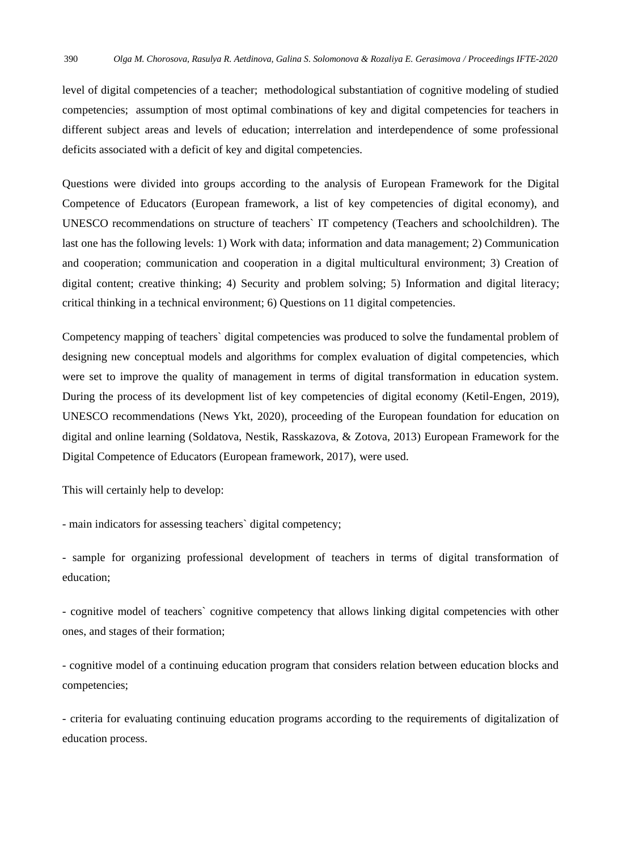level of digital competencies of a teacher; methodological substantiation of cognitive modeling of studied competencies; assumption of most optimal combinations of key and digital competencies for teachers in different subject areas and levels of education; interrelation and interdependence of some professional deficits associated with a deficit of key and digital competencies.

Questions were divided into groups according to the analysis of European Framework for the Digital Competence of Educators (European framework, a list of key competencies of digital economy), and UNESCO recommendations on structure of teachers` IT competency (Teachers and schoolchildren). The last one has the following levels: 1) Work with data; information and data management; 2) Communication and cooperation; communication and cooperation in a digital multicultural environment; 3) Creation of digital content; creative thinking; 4) Security and problem solving; 5) Information and digital literacy; critical thinking in a technical environment; 6) Questions on 11 digital competencies.

Competency mapping of teachers` digital competencies was produced to solve the fundamental problem of designing new conceptual models and algorithms for complex evaluation of digital competencies, which were set to improve the quality of management in terms of digital transformation in education system. During the process of its development list of key competencies of digital economy (Ketil-Engen, 2019), UNESCO recommendations (News Ykt, 2020), proceeding of the European foundation for education on digital and online learning (Soldatova, Nestik, Rasskazova, & Zotova, 2013) European Framework for the Digital Competence of Educators (European framework, 2017), were used.

This will certainly help to develop:

- main indicators for assessing teachers` digital competency;

- sample for organizing professional development of teachers in terms of digital transformation of education;

- cognitive model of teachers` cognitive competency that allows linking digital competencies with other ones, and stages of their formation;

- cognitive model of a continuing education program that considers relation between education blocks and competencies;

- criteria for evaluating continuing education programs according to the requirements of digitalization of education process.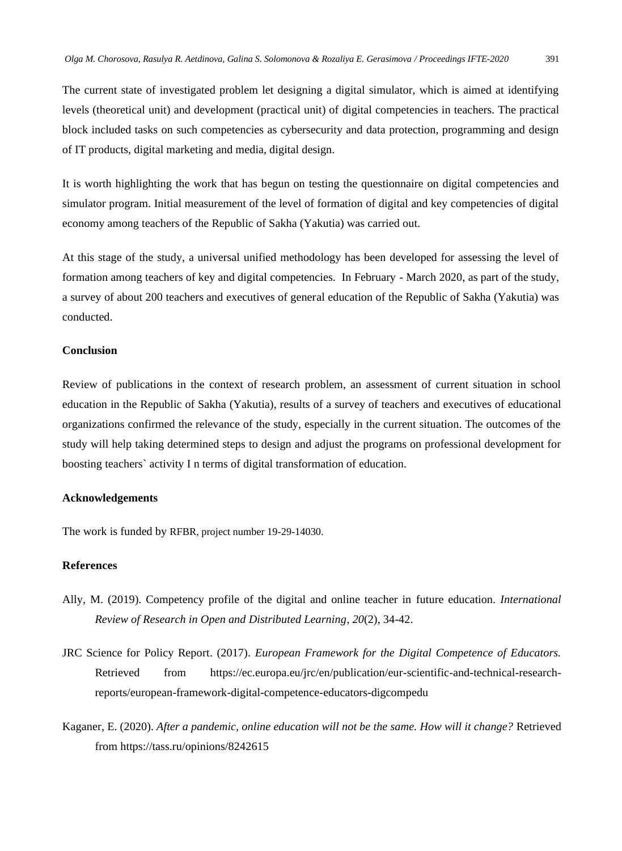The current state of investigated problem let designing a digital simulator, which is aimed at identifying levels (theoretical unit) and development (practical unit) of digital competencies in teachers. The practical block included tasks on such competencies as cybersecurity and data protection, programming and design of IT products, digital marketing and media, digital design.

It is worth highlighting the work that has begun on testing the questionnaire on digital competencies and simulator program. Initial measurement of the level of formation of digital and key competencies of digital economy among teachers of the Republic of Sakha (Yakutia) was carried out.

At this stage of the study, a universal unified methodology has been developed for assessing the level of formation among teachers of key and digital competencies. In February - March 2020, as part of the study, a survey of about 200 teachers and executives of general education of the Republic of Sakha (Yakutia) was conducted.

#### **Conclusion**

Review of publications in the context of research problem, an assessment of current situation in school education in the Republic of Sakha (Yakutia), results of a survey of teachers and executives of educational organizations confirmed the relevance of the study, especially in the current situation. The outcomes of the study will help taking determined steps to design and adjust the programs on professional development for boosting teachers` activity I n terms of digital transformation of education.

#### **Acknowledgements**

The work is funded by RFBR, project number 19-29-14030.

### **References**

- Ally, M. (2019). Competency profile of the digital and online teacher in future education. *International Review of Research in Open and Distributed Learning*, *20*(2), 34-42.
- JRC Science for Policy Report. (2017). *European Framework for the Digital Competence of Educators.* Retrieved from https://ec.europa.eu/jrc/en/publication/eur-scientific-and-technical-researchreports/european-framework-digital-competence-educators-digcompedu
- Kaganer, E. (2020). *After a pandemic, online education will not be the same. How will it change?* Retrieved from https://tass.ru/opinions/8242615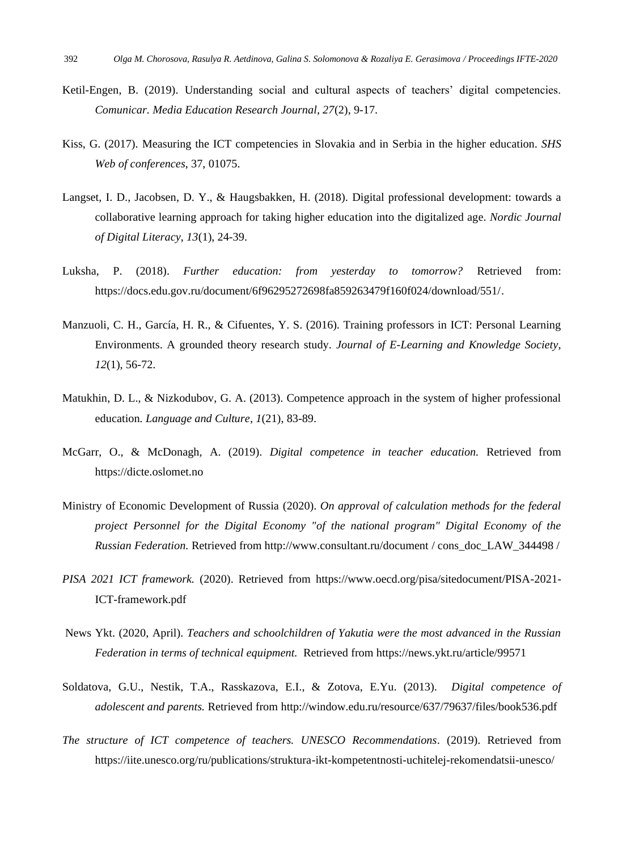- Ketil-Engen, B. (2019). Understanding social and cultural aspects of teachers' digital competencies. *Comunicar. Media Education Research Journal, 27*(2), 9-17.
- Kiss, G. (2017). Measuring the ICT competencies in Slovakia and in Serbia in the higher education. *SHS Web of conferences*, 37, 01075.
- Langset, I. D., Jacobsen, D. Y., & Haugsbakken, H. (2018). Digital professional development: towards a collaborative learning approach for taking higher education into the digitalized age. *Nordic Journal of Digital Literacy*, *13*(1), 24-39.
- Luksha, P. (2018). *Further education: from yesterday to tomorrow?* Retrieved from: https://docs.edu.gov.ru/document/6f96295272698fa859263479f160f024/download/551/.
- Manzuoli, C. H., García, H. R., & Cifuentes, Y. S. (2016). Training professors in ICT: Personal Learning Environments. A grounded theory research study. *Journal of E-Learning and Knowledge Society*, *12*(1), 56-72.
- Matukhin, D. L., & Nizkodubov, G. A. (2013). Competence approach in the system of higher professional education*. Language and Culture*, *1*(21), 83-89.
- McGarr, O., & McDonagh, A. (2019). *Digital competence in teacher education.* Retrieved from https://dicte.oslomet.no
- Ministry of Economic Development of Russia (2020). *On approval of calculation methods for the federal project Personnel for the Digital Economy "of the national program" Digital Economy of the Russian Federation.* Retrieved from http://www.consultant.ru/document / cons\_doc\_LAW\_344498 /
- *PISA 2021 ICT framework.* (2020). Retrieved from https://www.oecd.org/pisa/sitedocument/PISA-2021- ICT-framework.pdf
- News Ykt. (2020, April). *Teachers and schoolchildren of Yakutia were the most advanced in the Russian Federation in terms of technical equipment.* Retrieved from <https://news.ykt.ru/article/99571>
- Soldatova, G.U., Nestik, T.A., Rasskazova, E.I., & Zotova, E.Yu. (2013). *Digital competence of adolescent and parents.* Retrieved from http://window.edu.ru/resource/637/79637/files/book536.pdf
- *The structure of ICT competence of teachers. UNESCO Recommendations.* (2019). Retrieved from https://iite.unesco.org/ru/publications/struktura-ikt-kompetentnosti-uchitelej-rekomendatsii-unesco/